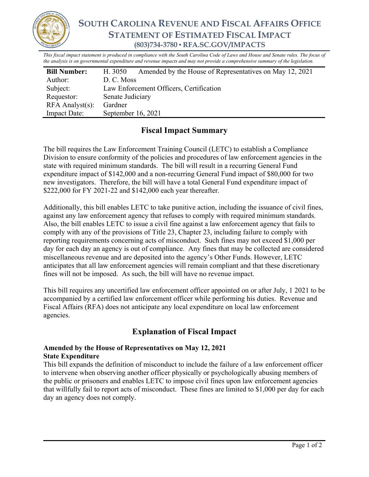

**SOUTH CAROLINA REVENUE AND FISCAL AFFAIRS OFFICE STATEMENT OF ESTIMATED FISCAL IMPACT (803)734-3780 ▪ RFA.SC.GOV/IMPACTS** 

*This fiscal impact statement is produced in compliance with the South Carolina Code of Laws and House and Senate rules. The focus of the analysis is on governmental expenditure and revenue impacts and may not provide a comprehensive summary of the legislation.*

| <b>Bill Number:</b>   | H. 3050                                 | Amended by the House of Representatives on May 12, 2021 |
|-----------------------|-----------------------------------------|---------------------------------------------------------|
| Author:               | D. C. Moss                              |                                                         |
| Subject:              | Law Enforcement Officers, Certification |                                                         |
| Requestor:            | Senate Judiciary                        |                                                         |
| $RFA$ Analyst $(s)$ : | Gardner                                 |                                                         |
| <b>Impact Date:</b>   | September 16, 2021                      |                                                         |

# **Fiscal Impact Summary**

The bill requires the Law Enforcement Training Council (LETC) to establish a Compliance Division to ensure conformity of the policies and procedures of law enforcement agencies in the state with required minimum standards. The bill will result in a recurring General Fund expenditure impact of \$142,000 and a non-recurring General Fund impact of \$80,000 for two new investigators. Therefore, the bill will have a total General Fund expenditure impact of \$222,000 for FY 2021-22 and \$142,000 each year thereafter.

Additionally, this bill enables LETC to take punitive action, including the issuance of civil fines, against any law enforcement agency that refuses to comply with required minimum standards. Also, the bill enables LETC to issue a civil fine against a law enforcement agency that fails to comply with any of the provisions of Title 23, Chapter 23, including failure to comply with reporting requirements concerning acts of misconduct. Such fines may not exceed \$1,000 per day for each day an agency is out of compliance. Any fines that may be collected are considered miscellaneous revenue and are deposited into the agency's Other Funds. However, LETC anticipates that all law enforcement agencies will remain compliant and that these discretionary fines will not be imposed. As such, the bill will have no revenue impact.

This bill requires any uncertified law enforcement officer appointed on or after July, 1 2021 to be accompanied by a certified law enforcement officer while performing his duties. Revenue and Fiscal Affairs (RFA) does not anticipate any local expenditure on local law enforcement agencies.

## **Explanation of Fiscal Impact**

### **Amended by the House of Representatives on May 12, 2021 State Expenditure**

This bill expands the definition of misconduct to include the failure of a law enforcement officer to intervene when observing another officer physically or psychologically abusing members of the public or prisoners and enables LETC to impose civil fines upon law enforcement agencies that willfully fail to report acts of misconduct. These fines are limited to \$1,000 per day for each day an agency does not comply.